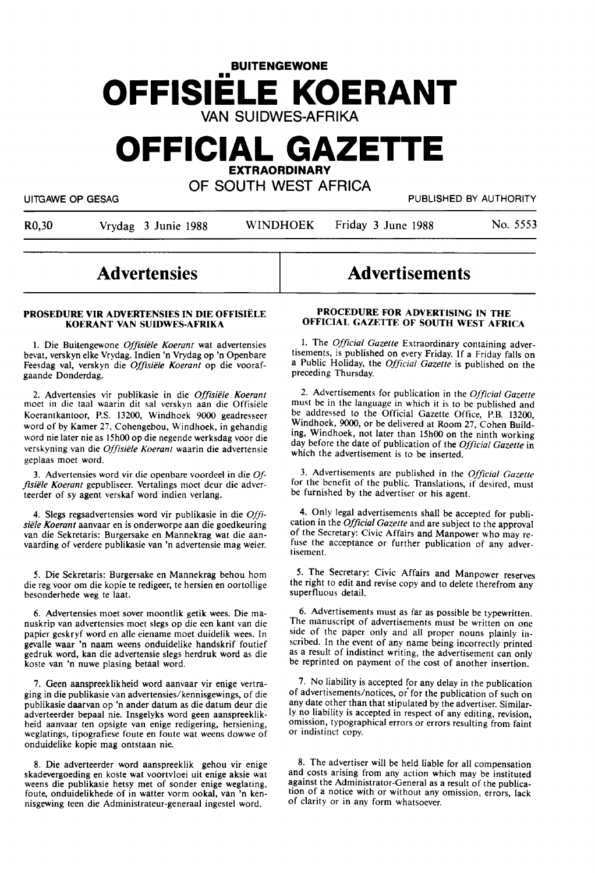# **BUITENGEWONE**  •• **OFFISIELE KOERANT**  VAN SUIDWES-AFRIKA

# **OFFICIAL GAZETTE EXTRAORDINARY**

OF SOUTH WEST AFRICA

UITGAWE OP GESAG PUBLISHED BY AUTHORITY

R0,30 Vrydag 3 Junie 1988 WINDHOEK Friday 3 June 1988 No. 5553

## **Advertensies**

#### PROSEDURE VIR ADVERTENSIES IN DIE OFFISIELE **KOERANT VAN SUIDWES-AFRIKA**

I. Die Buitengewone *Offisiele Koerant* wat advertensies bevat, verskyn elke Vrydag. Indien 'n Vrydag op 'n Openbare Feesdag val, verskyn die *Offisiele Koerant* op die voorafgaande Donderdag.

2. Advertensies vir publikasie in die *Offisiele Koerant*  moet in die taal waarin dit sal verskyn aan die Offisieie Koerantkantoor, P.S. 13200, Windhoek 9000 geadresseer word of by Kamer 27, Cohengebou, Windhoek, in gehandig word nie later nie as 15h00 op die negende werksdag voor die verskyning van die *Offisiele Koerant* waarin die advertensie geplaas moet word.

3. Advertensies word vir die openbare voordeel in die. *0/ j,siele Koerant* gepubliseer. Vertalings moet deur die adverteerder of sy agent verskaf word indien verlang.

4. Slegs regsadvertensies word vir publikasie in die *Offisiele Koerant* aanvaar en is onderworpe aan die goedkeuring van die Sekretaris: Burgersake en Mannekrag wat die aanvaarding of verdere publikasie van 'n advertensie mag weier.

*5.* Die Sekretaris: Burgersake en Mannekrag behou horn die reg voor om die kopie te redigeer, te hersien en oortollige besonderhede weg te laat.

6. Advertensies moet sover moontlik getik wees. Die manuskrip van advertensies moet slegs op die een kant van die papier geskryf word en alle eiename moet duidelik wees. In gevalle waar 'n naam weens onduidelike handskrif foutief gedruk word, kan die advertensie slegs herdruk word as die koste van 'n nuwe plasing betaal word.

7. Geen aanspreeklikheid word aanvaar vir enige vertraging in die publikasie van advertensies/kennisgewings, of die publikasie daarvan op 'n ander datum as die datum deur die adverteerder bepaal nie. lnsgelyks word geen aanspreeklikheid aanvaar ten opsigte van enige redigering, hersiening, weglatings, tipografiese foute en foute wat weens dowwe of onduidelike kopie mag ontstaan nie.

8. Die adverteerder word aanspreeklik gehou vir enige skadevergoeding en koste wat voortvloei uit enige aksie wat weens die publikasie hetsy met of sonder enige weglating, foute. onduidelikhede of in watter vorm ookal, van 'n kennisgewing teen die Administrateur-generaal ingestel word.

## Advertisements

## **PROCEDURE FOR ADVERTISING IN THE OFFICIAL GAZETTE OF SOUTH WEST AFRICA**

I. The *Official Gazette* Extraordinary containing advertisements, is published on every Friday. If a Friday falls on a Public Holiday, the *Official Gazette* is published on the preceding Thursday.

2. Advertisements for publication in the *Official Gazette*  must be in the language in which it is to be published and be addressed to the Official Gazette Office, P.B. 13200, Windhoek, 9000, or be delivered at Room 27, Cohen Building, Windhoek, not later than 15h00 on the ninth working day before the date of publication of the *Official Gazette* in which the advertisement is to be inserted.

3. Advertisements are published in the *Official Gazette*  for the benefit of the public. Translations, if desired, must be furnished by the advertiser or his agent.

4. Only legal advertisements shall be accepted for publication in the *Official Gazette* and are subject to the approval of the Secretary: Civic Affairs and Manpower who may refuse the acceptance or further publication of any advertisement.

*5.* The Secretary: Civic Affairs and Manpower reserves the right to edit and revise copy and to delete therefrom any superfluous detail.

6. Advertisements must as far as possible be typewritten. The manuscript of advertisements must be written on one side of the paper only and all proper nouns plainly inscribed. In the event of any name being incorrectly printed as a result of indistinct writing, the advertisement can only be reprinted on payment of the cost of another insertion.

7. No liability is accepted for any delay in the publication of advertisements/notices, *oi* for the publication of such on any date other than that stipulated by the advertiser. Similarly no liability is accepted in respect of any editing, revision, omission, typographical errors or errors resulting from faint or indistinct copy.

8. The advertiser will be held liable for all compensation and costs arising from any action which may be instituted against the Administrator-General as a result of the publication of a notice with or without any omission, errors, lack of clarity or in any form whatsoever. '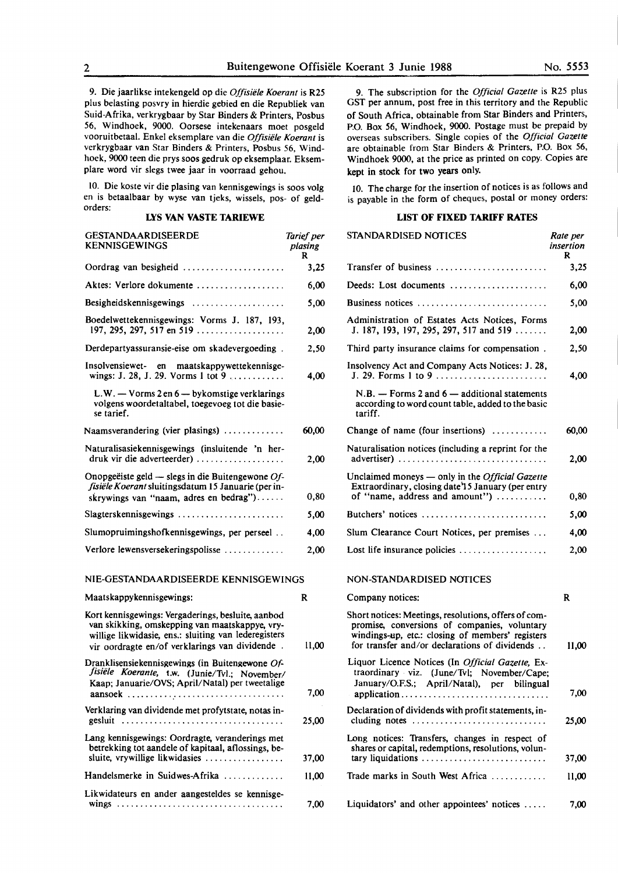9. Die jaarlikse intekengeld op die *Offisiiile Koerant* is R2S plus belasting posvry in hierdie gebied en die Republiek van Suid-Afrika, verkrygbaar by Star Binders & Printers, Posbus *S6,* Windhoek, 9000. Oorsese intekenaars moet posgeld vooruitbetaal. Enke! eksemplare van die *Offisiiile Koerant* is verkrygbaar van Star Binders & Printers, Posbus 56, Windhoek, 9000 teen die prys soos gedruk op eksemplaar. Eksemplare word vir slegs twee jaar in voorraad **gehou.** 

IO. Die koste vir die plasing van kennisgewings is soos volg en is betaalbaar by wyse van tjeks, wissels, pos- of geldorders:

## **LYS VAN VASTE TARIEWE**

| <b>GESTANDAARDISEERDE</b><br><b>KENNISGEWINGS</b>                                                                                                                                                              | Tarief per<br>plasing<br>R |
|----------------------------------------------------------------------------------------------------------------------------------------------------------------------------------------------------------------|----------------------------|
| Oordrag van besigheid                                                                                                                                                                                          | 3,25                       |
| Aktes: Verlore dokumente                                                                                                                                                                                       | 6,00                       |
| Besigheidskennisgewings                                                                                                                                                                                        | 5,00                       |
| Boedelwettekennisgewings: Vorms J. 187, 193,<br>197, 295, 297, 517 en 519                                                                                                                                      | 2,00                       |
| Derdepartyassuransie-eise om skadevergoeding.                                                                                                                                                                  | 2,50                       |
| Insolvensiewet- en maatskappywettekennisge-<br>wings: J. 28, J. 29. Vorms 1 tot 9                                                                                                                              | 4,00                       |
| L.W. - Vorms 2 en 6 - bykomstige verklarings<br>volgens woordetaltabel, toegevoeg tot die basie-<br>se tarief.                                                                                                 |                            |
| Naamsverandering (vier plasings) $\dots\dots\dots\dots$                                                                                                                                                        | 60,00                      |
| Naturalisasiekennisgewings (insluitende 'n her-<br>druk vir die adverteerder)                                                                                                                                  | 2,00                       |
| Onopgeëiste geld — slegs in die Buitengewone $Of$ -<br>fisiële Koerant sluitingsdatum 15 Januarie (per in-<br>skrywings van "naam, adres en bedrag")                                                           | 0,80                       |
| Slagterskennisgewings                                                                                                                                                                                          | 5,00                       |
| Slumopruimingshofkennisgewings, per perseel                                                                                                                                                                    | 4,00                       |
| Verlore lewensversekeringspolisse                                                                                                                                                                              | 2.00                       |
| NIE-GESTANDAARDISEERDE KENNISGEWINGS                                                                                                                                                                           |                            |
| Maatskappykennisgewings:                                                                                                                                                                                       | R                          |
| Kort kennisgewings: Vergaderings, besluite, aanbod<br>van skikking, omskepping van maatskappye, vry-<br>willige likwidasie, ens.: sluiting van lederegisters<br>vir oordragte en/of verklarings van dividende. | 11.00                      |
|                                                                                                                                                                                                                |                            |

| Dranklisensiekennisgewings (in Buitengewone Of-<br>fisiële Koerante, t.w. (Junie/Tvl.; November/<br>Kaap; Januarie/OVS; April/Natal) per tweetalige |       |
|-----------------------------------------------------------------------------------------------------------------------------------------------------|-------|
|                                                                                                                                                     | 7,00  |
| Verklaring van dividende met profytstate, notas in-                                                                                                 | 25,00 |
| Lang kennisgewings: Oordragte, veranderings met<br>betrekking tot aandele of kapitaal, aflossings, be-<br>sluite, vrywillige likwidasies            | 37.00 |
| Handelsmerke in Suidwes-Afrika                                                                                                                      | 11.00 |
| Likwidateurs en ander aangesteldes se kennisge-                                                                                                     |       |

9. The subscription for the *Official Gazette* is R25 plus GST per annum, post free in this territory and the Republic of South **Africa,** obtainable from Star Binders and Printers, P.O. Box *S6,* Windhoek, **9000.** Postage must be prepaid by overseas subscribers. Single copies of the *Official Gazette*  are obtainable from Star Binders & Printers, P.O. Box 56, Windhoek 9000, at the price as printed on copy. Copies are kept in stock for **two years** only.

10. The charge for the insertion of notices is as follows and is payable in the form of cheques, postal or money orders:

### **LIST OF FIXED TARIFF RATES**

| GESTANDAARDISEERDE<br><b>KENNISGEWINGS</b>                                                                                                                                                                     | Tarief per<br>plasing<br>R | STANDARDISED NOTICES                                                                                                                                                                                      | Rate per<br>insertion<br>R |
|----------------------------------------------------------------------------------------------------------------------------------------------------------------------------------------------------------------|----------------------------|-----------------------------------------------------------------------------------------------------------------------------------------------------------------------------------------------------------|----------------------------|
| Dordrag van besigheid                                                                                                                                                                                          | 3,25                       | Transfer of business                                                                                                                                                                                      | 3,25                       |
| Aktes: Verlore dokumente                                                                                                                                                                                       | 6,00                       | Deeds: Lost documents                                                                                                                                                                                     | 6,00                       |
|                                                                                                                                                                                                                | 5,00                       | Business notices                                                                                                                                                                                          | 5,00                       |
| Boedelwettekennisgewings: Vorms J. 187, 193,<br>197, 295, 297, 517 en 519                                                                                                                                      | 2,00                       | Administration of Estates Acts Notices, Forms<br>J. 187, 193, 197, 295, 297, 517 and 519                                                                                                                  | 2,00                       |
| Derdepartyassuransie-eise om skadevergoeding.                                                                                                                                                                  | 2,50                       | Third party insurance claims for compensation.                                                                                                                                                            | 2,50                       |
| nsolvensiewet- en maatskappywettekennisge-<br>wings: J. 28, J. 29. Vorms 1 tot 9 $\dots \dots \dots$                                                                                                           | 4,00                       | Insolvency Act and Company Acts Notices: J. 28,<br>J. 29. Forms 1 to 9                                                                                                                                    | 4,00                       |
| L.W. $-$ Vorms 2 en 6 $-$ by komstige verklarings<br>volgens woordetaltabel, toegevoeg tot die basie-<br>se tarief.                                                                                            |                            | $N.B. - Forms 2$ and $6 - additional statements$<br>according to word count table, added to the basic<br>tariff.                                                                                          |                            |
| Vaamsverandering (vier plasings)                                                                                                                                                                               | 60,00                      | Change of name (four insertions)                                                                                                                                                                          | 60,00                      |
| Naturalisasiekennisgewings (insluitende 'n her-<br>druk vir die adverteerder)                                                                                                                                  | 2,00                       | Naturalisation notices (including a reprint for the<br>advertiser)                                                                                                                                        | 2,00                       |
| Onopgeëiste geld — slegs in die Buitengewone $Of$ -<br>fisiële Koerant sluitingsdatum 15 Januarie (per in-<br>skrywings van "naam, adres en bedrag")                                                           | 0,80                       | Unclaimed moneys - only in the Official Gazette<br>Extraordinary, closing date 15 January (per entry<br>of "name, address and amount")                                                                    | 0,80                       |
| Slagterskennisgewings                                                                                                                                                                                          | 5,00                       | Butchers' notices                                                                                                                                                                                         | 5,00                       |
| Slumopruimingshofkennisgewings, per perseel                                                                                                                                                                    | 4,00                       | Slum Clearance Court Notices, per premises                                                                                                                                                                | 4,00                       |
| erlore lewensversekeringspolisse                                                                                                                                                                               | 2,00                       | Lost life insurance policies                                                                                                                                                                              | 2,00                       |
| NIE-GESTANDAARDISEERDE KENNISGEWINGS                                                                                                                                                                           |                            | NON-STANDARDISED NOTICES                                                                                                                                                                                  |                            |
| Aaatskappykennisgewings:                                                                                                                                                                                       | R                          | Company notices:                                                                                                                                                                                          | $\bf R$                    |
| Kort kennisgewings: Vergaderings, besluite, aanbod<br>van skikking, omskepping van maatskappye, vry-<br>willige likwidasie, ens.: sluiting van lederegisters<br>vir oordragte en/of verklarings van dividende. | 11,00                      | Short notices: Meetings, resolutions, offers of com-<br>promise, conversions of companies, voluntary<br>windings-up, etc.: closing of members' registers<br>for transfer and/or declarations of dividends | 11,00                      |
| Oranklisensiekennisgewings (in Buitengewone Of-<br>fisiële Koerante, t.w. (Junie/Tvl.; November/<br>Kaap; Januarie/OVS; April/Natal) per tweetalige                                                            | 7,00                       | Liquor Licence Notices (In Official Gazette, Ex-<br>traordinary viz. (June/Tvl; November/Cape;<br>January/O.F.S.; April/Natal), per bilingual<br>application                                              | 7,00                       |
| erklaring van dividende met profytstate, notas in-                                                                                                                                                             | 25,00                      | Declaration of dividends with profit statements, in-<br>cluding notes $\dots\dots\dots\dots\dots\dots\dots\dots\dots\dots\dots$                                                                           | 25,00                      |
| ang kennisgewings: Oordragte, veranderings met<br>betrekking tot aandele of kapitaal, aflossings, be-<br>sluite, vrywillige likwidasies                                                                        | 37,00                      | Long notices: Transfers, changes in respect of<br>shares or capital, redemptions, resolutions, volun-<br>tary liquidations                                                                                | 37,00                      |
| Iandelsmerke in Suidwes-Afrika                                                                                                                                                                                 | 11.00                      | Trade marks in South West Africa                                                                                                                                                                          | 11,00                      |
| ikwidateurs en ander aangesteldes se kennisge-                                                                                                                                                                 | 7,00                       | Liquidators' and other appointees' notices                                                                                                                                                                | 7,00                       |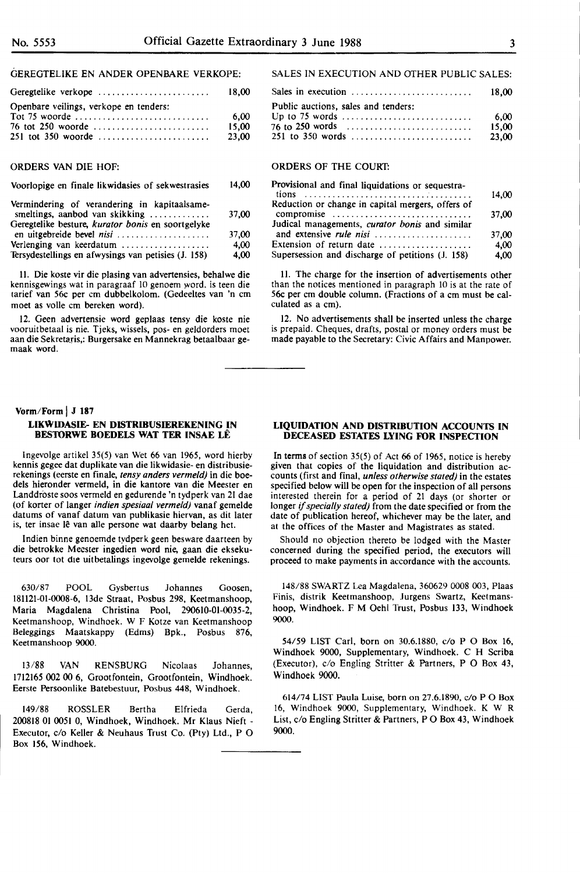## GEREGTELIKE EN ANDER OPENBARE VERKOPE:

| Geregtelike verkope                    | 18.00 |
|----------------------------------------|-------|
| Openbare veilings, verkope en tenders: |       |
|                                        | 6.00  |
| 76 tot 250 woorde                      | 15.00 |
|                                        | 23.00 |

## ORDERS VAN DIE HOF:

Voorlopige en finale likwidasies of sekwestrasies 14,00

| Vermindering of verandering in kapitaalsame-<br>smeltings, aanbod van skikking | 37,00 |
|--------------------------------------------------------------------------------|-------|
| Geregtelike besture, kurator bonis en soortgelyke<br>en uitgebreide bevel nisi | 37.00 |
| Verlenging van keerdatum                                                       | 4.00  |
| Tersydestellings en afwysings van petisies (J. 158)                            | 4,00  |

11. Die koste vir die plasing van advertensies, behalwe die kennisgewings wat in paragraaf 10 genoem word. is teen die tarief van 56c per cm dubbelkolom. (Gedeeltes van 'n cm moet as voile cm bereken word).

12. Geen advertensie word geplaas tensy die koste nie vooruitbetaal is nie. Tjeks, wissels, pos- en geldorders moet aan die Sekretaris,: Burgersake en Mannekrag betaalbaar gemaak word.

#### **Vorm/Form** I **<sup>J</sup><sup>187</sup>**

## **LIKWIDASIE- EN DISTRIBUSIEREKENING IN BESTORWE BOEDELS WAT TER INSAE LÊ**

lngevolge artikel 35(5) van Wet 66 van 1965, word hierby kennis **gegee** dat duplikate van die likwidasie- en distribusierekenings (eerste en finale, *tensy anders vermeld)* in die boedels hieronder vermeld, in die kantore van die Meester en Landdroste soos vermeld en gedurende 'n tydperk van 21 dae (of korter of !anger *indien spesiaal vermeld)* vanaf gemelde datums of vanaf datum van publikasie hiervan, as dit later is, ter insae lê van alle persone wat daarby belang het.

lndien binne genoemde tydperk geen besware daarteen by die betrokke Meester ingedien word nie, gaan die eksekuteurs oor tot die uitbetalings ingevolge gemelde rekenings.

630/87 POOL Gysbertus Johannes Goosen, 18112!-01-0008-6, 13de Straat, Posbus 298, Keetmanshoop, Maria Magdalena Christina Pool, 290610-01-0035-2, Keetmanshoop, Windhoek. W F Kotze van Keetmanshoop Beleggings Maatskappy (Edms) Bpk., Posbus 876, Keetmanshoop 9000.

13/88 VAN RENSBURG Nicolaas Johannes, 1712165 002 00 6, Grootfontein, Grootfontein, Windhoek. Eerste Persoonlike Batebestuur, Posbus 448, Windhoek.

149/88 ROSSLER Bertha Elfrieda Gerda, 200818 01 0051 0, Windhoek, Windhoek. Mr Klaus Nieft - Executor, c/o Keller & Neuhaus Trust Co. (Pty) Ltd., P 0 Box 156, Windhoek.

## SALES IN EXECUTION AND OTHER PUBLIC SALES:

|                                     | 18.00 |
|-------------------------------------|-------|
| Public auctions, sales and tenders: |       |
|                                     | 6.00  |
| 76 to 250 words                     | 15.00 |
|                                     | 23.00 |

## ORDERS OF THE COURT:

| Provisional and final liquidations or sequestra-  |       |
|---------------------------------------------------|-------|
|                                                   | 14,00 |
| Reduction or change in capital mergers, offers of |       |
| compromise                                        | 37,00 |
| Judical managements, curator bonis and similar    |       |
| and extensive rule nisi                           | 37.00 |
| Extension of return date                          | 4.00  |
| Supersession and discharge of petitions (J. 158)  | 4.00  |

11. The charge for the insertion of advertisements other than the notices mentioned in paragraph 10 is at the rate of 56c per cm double column. (Fractions of a cm must be calculated as a cm).

12. No advertisements shall be inserted unless the charge is prepaid. Cheques, drafts, postal or money orders must be made payable to the Secretary: Civic Affairs and Manpower.

## **LIQUIDATION AND DISTRIBUTION ACCOUNTS IN DECEASED ESTATES LYING FOR INSPECTION**

In terms of section 35(5) of Act 66 of 1965, notice is hereby given that copies of the liquidation and distribution accounts (first and final, *unless otherwise stated)* in the estates specified below will be open for the inspection of all persons interested therein for a period of 21 days (or shorter or longer if *specially stated)* from the date specified or from the date of publication hereof, whichever may be the later, and at the offices of the Master and Magistrates as stated.

Should no objection thereto be lodged with the Master concerned during the specified period, the executors will proceed to make payments in accordance with the accounts.

148/88 SWARTZ Lea Magdalena, 360629 0008 003, Plaas Finis, distrik Keetmanshoop, Jurgens Swartz, Keetmanshoop, Windhoek. F M Oehl Trust, Posbus 133, Windhoek 9000.

54/59 LIST Carl, born on 30.6.1880, c/o P O Box 16, Windhoek 9000, Supplementary, Windhoek. C H Scriba (Executor), c/o Engling Stritter & Partners, P O Box 43, Windhoek 9000.

614/74 LIST Paula Luise, born on 27.6.1890, c/o PO Box 16, Windhoek 9000, Supplementary, Windhoek. **K W R**  List, c/o Engling Stritter & Partners, P O Box 43, Windhoek 9000.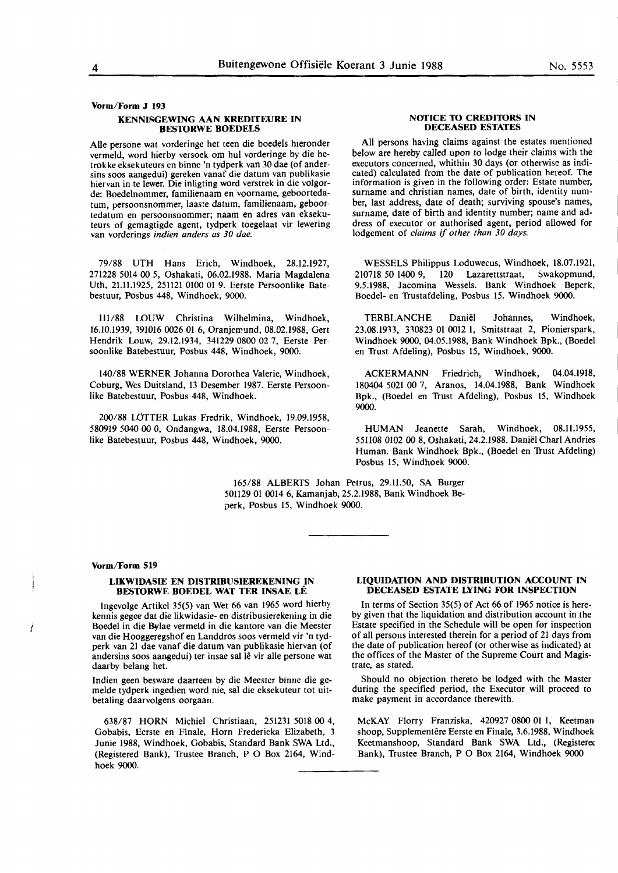## **Vorm/Form J 193 KENNISGEWING AAN KREDITEURE IN BES10RWE BOEDELS**

Alie persone wat vorderinge bet teen die boedels hieronder vermeld, word hierby versoek om hul vorderinge by die betrokke eksekuteurs en binne 'n tydperk van 30 dae (of andersins soos aangedui) gereken vanaf die datum van publikasie hiervan in te lewer. Die inligting word verstrek in die volgorde: Boedelnommer, familienaam en voorname, geboortedatum, persoonsnommer, laaste datum, familienaam, geboortedatum en persoonsnommer; naam en adres van **ekseku**teurs of gemagtigde agent, tydperk toegelaat vir lewering van vorderings *indien anders as 30 dae.* 

79/88 UTH Hans Erich, Windhoek, 28.12.1927, 271228 5014 00 5, Oshakati, 06.02.1988. Maria Magdalena Uth, 21.11.1925, 251121 0100 01 9. Eerste Persoonlike Batebestuur, Posbus 448, Windhoek, 9000.

lll/88 LOUW Christina Wilhelmina, Windhoek, 16.10.1939, 391016 0026 01 6, Oranjemund, 08.02.1988, Gert Hendrik Louw, 29.12.1934, 341229 0800 02 7, Eerste Persoonlike Batebestuur, Posbus 448, Windhoek, 9000.

140/88 WERNER Johanna Dorothea Valerie, Windhoek, Coburg, Wes Duitsland, 13 Desember 1987. Eerste Persoonlike Batebestuur, Posbus 448, Windhoek.

200/88 LOTTER Lukas Fredrik, Windhoek, 19.09.1958, 580919 5040 00 0, Ondangwa, 18.04.1988, Eerste Persoonlike Batebestuur, Posbus 448, Windhoek, 9000.

#### **NOTICE TO CREDITORS IN DECEASED ESTATES**

All persons having claims against the estates mentioned below are hereby called upon to lodge their claims with the executors concerned, whithin 30 days (or otherwise as indicated) calculated from the date of publication hereof. The information is given in the following order: Estate number, surname and christian names, date of birth, identity number, last address, date of death; surviving spouse's names, surname, date of birth and identity number; name and address of executor or authorised agent, period allowed for lodgement of *claims* if *other than 30 days.* 

WESSELS Philippus Loduwecus, Windhoek, 18.07.1921, **210718 50 1400 9, 120 Lazarettstraat, Swakopmund,**  9.5.1988, Jacomina Wessels. Bank Windhoek Beperk, Boedel- en Trustafdeling, Posbus 15. Windhoek 9000.

TERBLANCHE Daniel Johannes, Windhoek, 23.08.1933, 330823 01 0012 I, Smitstraat 2, Pionierspark, **Windhoek 9000, 04.05.1988, Bank Windhoek Bpk., (Boedel**  en Trust Afdeling), Posbus 15, Windhoek, 9000.

**ACKERMANN** Friedrich, Windhoek, 04.04.1918, 180404 5021 00 7, Aranos, 14.04.1988, Bank Windhoek Bpk., (Boedel en Trust Afdeling), Posbus 15, Windhoek 9000.

HUMAN Jeanette Sarah, Windhoek, 08.11.1955, 55II08 0102 00 8, Oshakati, 24.2.1988. Daniel Chari Andries Human. Bank Windhoek Bpk., (Boedel en Trust Afdeling) Posbus 15, Windhoek 9000.

165/88 ALBERTS Johan Petrus, 29.11.50, SA Burger 50II29 01 0014 6, Kamanjab, 25.2.1988, Bank Windhoek Beperk, Posbus 15, Windhoek 9000.

#### **Vorm/Form 519**

#### **LIKWIDASIE EN DISTRIBUSIEREKENING IN BES10RWE BOEDEL WAT TER INSAE LE**

lngevolge Artikel 35(5) van Wet 66 van 1965 word hierby kennis gegee dat die likwidasie- en distribusierekening in die **Boedel in die Bflae vermeld in die kantore van die Meester**  van die Hooggeregshof en Landdros soos vermeld vir 'n tydperk van 21 dae vanaf die datum van publikasie hiervan (of andersins soos aangedui) ter insae sal lê vir alle persone wat daarby belang het.

Indien geen besware daarteen by die Meester binne die gemelde tydperk ingedien word nie, sal die eksekuteur tot uitbetaling daarvolgens oorgaan.

638/87 HORN Michie! Christiaan, 251231 5018 00 4, Gobabis, Eerste en Finale, Horn Frederieka Elizabeth, 3 Junie 1988, Windhoek, Gobabis, Standard Bank SWA Ltd., (Registered Bank), Trustee Branch, P O Box 2164, Windhoek 9000.

#### **LIQUIDATION AND DISTRIBUTION ACCOUNT IN DECEASED ESTATE LYING FOR INSPECTION**

In terms of Section 35(5) of Act 66 of 1965 notice is hereby given that the liquidation and distribution account in the Estate specified in the Schedule will be open for inspection of all persons interested therein for a period of 21 days from the date of publication hereof (or otherwise as indicated) at the offices of the Master of the Supreme Court and Magistrate, as stated.

Should no objection thereto be lodged with the Master during the specified period, the Executor will proceed to make payment in accordance therewith.

McKAY Florry Franziska, 420927 0800 01 1, Keetman shoop, Supplementêre Eerste en Finale, 3.6.1988, Windhoek Keetmanshoop, Standard Bank SWA Ltd., (Registerec Bank), Trustee Branch, P O Box 2164, Windhoek 9000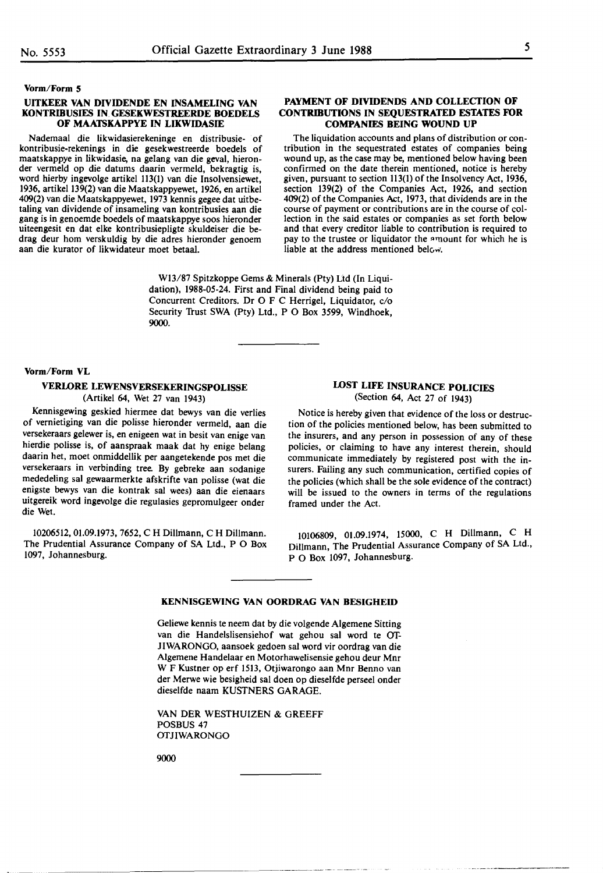#### **Vorm/Form S**

#### **UITKEER VAN DIVIDENDE EN INSAMELING VAN KONTRIBUSIES IN. GESEKWESTREERDE BOEDELS OF MAATSKAPPYE IN LIKWIDASIE**

Nademaal die likwidasierekeninge en distribusie- of kontribusie-rekenings in die gesekwestreerde boedels of maatskappye in likwidasie, na gelang van die geval, hieronder vermeld op die datums daarin vermeld, bekragtig is, word hierby ingevolge artikel 113(1) van die Insolvensiewet, 1936, artikel 139(2) van die Maatskappyewet, 1926, en artikel 409(2) van die Maatskappyewet, 1973 kennis gegee dat uitbetaling van dividende of insameling van kontribusies aan die gang is in genoemde boedels of maatskappye soos hieronder uiteengesit en dat elke kontribusiepligte skuldeiser die bedrag deur horn verskuldig by die adres hieronder genoem aan die kurator of likwidateur moet betaal.

### **PAYMENT OF DIVIDENDS AND COLLECTION OF CONTRIBUTIONS IN SEQUESTRATED ESTATES FOR COMPANIES BEING WOUND UP**

The liquidation accounts and plans of distribution or contribution in the sequestrated estates of companies being wound up, as the case may be, mentioned below having been confirmed on the date therein mentioned, notice is hereby given, pursuant to section 113(1) of the Insolvency Act, 1936, section 139(2) of the Companies Act, 1926, and section 409(2) of the Companies Act, 1973, that dividends are in the course of payment or contributions are in the course of collection in the said estates or companies as set forth below and that every creditor liable to contribution is required to pay to the trustee or liquidator the amount for which he is liable at the address mentioned below.

Wl3/87 Spitzkoppe Gems & Minerals (Pty) Ltd (In Liquidation), 1988-05-24. First and Final dividend being paid to Concurrent Creditors. Dr O F C Herrigel, Liquidator, c/o Security Trust SWA (Pty) Ltd., P O Box 3599, Windhoek, 9000.

#### **Vorm/Form VL**

## **VERLORE LEWENSVERSEKERINGSPOLISSE** (Artikel 64, Wet 27 van 1943)

Kennisgewing geskied hiermee dat bewys van die verlies of vernietiging van die polisse hieronder vermeld, aan die versekeraars gelewer is, en enigeen wat in besit van enige van hierdie polisse is, of aanspraak maak dat hy enige belang daarin het, moet onmiddellik per aangetekende pos met die versekeraars in verbinding tree. By gebreke aan sodanige mededeling sal gewaarmerkte afskrifte van polisse (wat die enigste bewys van die kontrak sal wees) aan die eienaars uitgereik word ingevolge die regulasies gepromulgeer onder die Wet.

10206512, 01.09.1973, 7652, CH Dillmann, CH Dillmann. The Prudential Assurance Company of SA Ltd., P O Box 1097, Johannesburg.

## **LOST LIFE INSURANCE POLICIES** (Section 64, Act 27 of 1943)

Notice is hereby given that evidence of the loss or destruction of the policies mentioned below, has been submitted to the insurers, and any person in possession of any of these policies, or claiming to have any interest therein, should communicate immediately by registered post with the insurers. Failing any such communication, certified copies of the policies (which shall be the sole evidence of the contract) will be issued to the owners in terms of the regulations framed under the Act.

10106809, 01.09.1974, 15000, C H Dillmann, C H Dillmann, The Prudential Assurance Company of SA Ltd., P O Box 1097, Johannesburg.

#### **KENNISGEWING VAN OORDRAG VAN BESIGHEID**

Geliewe kennis te neem dat by die volgende Algemene Sitting van die Handelslisensiehof wat gehou sal word te Of-JIWARONGO, aansoek gedoen sal word vir oordrag van die Algemene Handelaar en Motorhawelisensie gehou deur Mnr W F Kustner op erf 1513, Otjiwarongo aan Mnr Benno van der Merwe wie besigheid sal doen op dieselfde perseel onder dieselfde naam KUSTNERS GARAGE.

VAN DER WESTHUIZEN & GREEFF POSBUS 47 **OTJIWARONGO** 

9000